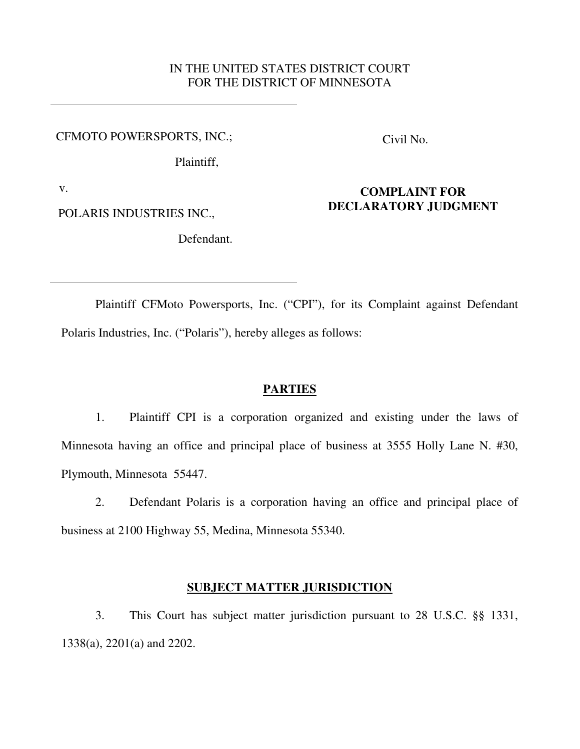# IN THE UNITED STATES DISTRICT COURT FOR THE DISTRICT OF MINNESOTA

CFMOTO POWERSPORTS, INC.;

Civil No.

**COMPLAINT FOR DECLARATORY JUDGMENT** 

Plaintiff,

v.

POLARIS INDUSTRIES INC.,

Defendant.

Plaintiff CFMoto Powersports, Inc. ("CPI"), for its Complaint against Defendant Polaris Industries, Inc. ("Polaris"), hereby alleges as follows:

### **PARTIES**

1. Plaintiff CPI is a corporation organized and existing under the laws of Minnesota having an office and principal place of business at 3555 Holly Lane N. #30, Plymouth, Minnesota 55447.

2. Defendant Polaris is a corporation having an office and principal place of business at 2100 Highway 55, Medina, Minnesota 55340.

## **SUBJECT MATTER JURISDICTION**

3. This Court has subject matter jurisdiction pursuant to 28 U.S.C. §§ 1331, 1338(a), 2201(a) and 2202.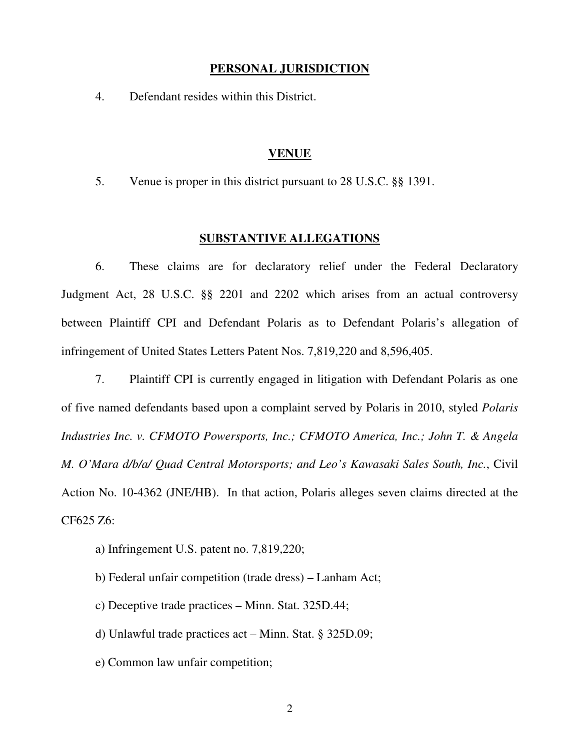### **PERSONAL JURISDICTION**

4. Defendant resides within this District.

#### **VENUE**

5. Venue is proper in this district pursuant to 28 U.S.C. §§ 1391.

### **SUBSTANTIVE ALLEGATIONS**

6. These claims are for declaratory relief under the Federal Declaratory Judgment Act, 28 U.S.C. §§ 2201 and 2202 which arises from an actual controversy between Plaintiff CPI and Defendant Polaris as to Defendant Polaris's allegation of infringement of United States Letters Patent Nos. 7,819,220 and 8,596,405.

7. Plaintiff CPI is currently engaged in litigation with Defendant Polaris as one of five named defendants based upon a complaint served by Polaris in 2010, styled *Polaris Industries Inc. v. CFMOTO Powersports, Inc.; CFMOTO America, Inc.; John T. & Angela M. O'Mara d/b/a/ Quad Central Motorsports; and Leo's Kawasaki Sales South, Inc.*, Civil Action No. 10-4362 (JNE/HB). In that action, Polaris alleges seven claims directed at the CF625 Z6:

- a) Infringement U.S. patent no. 7,819,220;
- b) Federal unfair competition (trade dress) Lanham Act;
- c) Deceptive trade practices Minn. Stat. 325D.44;
- d) Unlawful trade practices act Minn. Stat. § 325D.09;
- e) Common law unfair competition;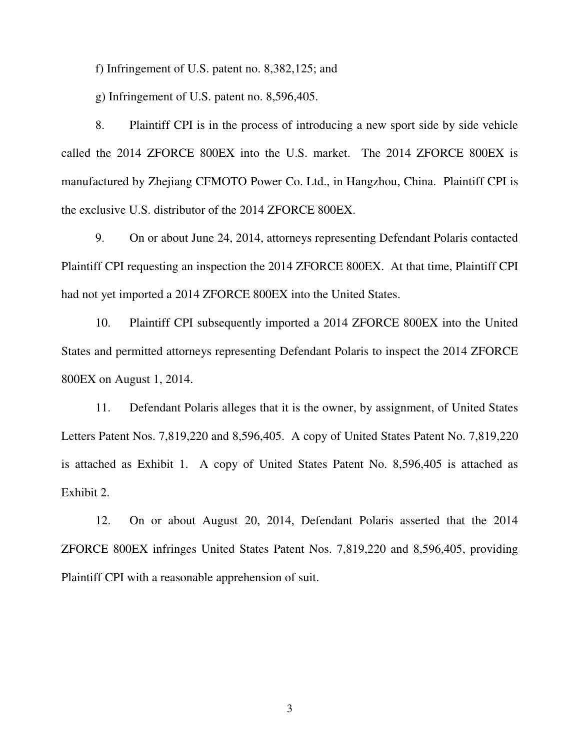f) Infringement of U.S. patent no. 8,382,125; and

g) Infringement of U.S. patent no. 8,596,405.

8. Plaintiff CPI is in the process of introducing a new sport side by side vehicle called the 2014 ZFORCE 800EX into the U.S. market. The 2014 ZFORCE 800EX is manufactured by Zhejiang CFMOTO Power Co. Ltd., in Hangzhou, China. Plaintiff CPI is the exclusive U.S. distributor of the 2014 ZFORCE 800EX.

9. On or about June 24, 2014, attorneys representing Defendant Polaris contacted Plaintiff CPI requesting an inspection the 2014 ZFORCE 800EX. At that time, Plaintiff CPI had not yet imported a 2014 ZFORCE 800EX into the United States.

10. Plaintiff CPI subsequently imported a 2014 ZFORCE 800EX into the United States and permitted attorneys representing Defendant Polaris to inspect the 2014 ZFORCE 800EX on August 1, 2014.

11. Defendant Polaris alleges that it is the owner, by assignment, of United States Letters Patent Nos. 7,819,220 and 8,596,405. A copy of United States Patent No. 7,819,220 is attached as Exhibit 1. A copy of United States Patent No. 8,596,405 is attached as Exhibit 2.

12. On or about August 20, 2014, Defendant Polaris asserted that the 2014 ZFORCE 800EX infringes United States Patent Nos. 7,819,220 and 8,596,405, providing Plaintiff CPI with a reasonable apprehension of suit.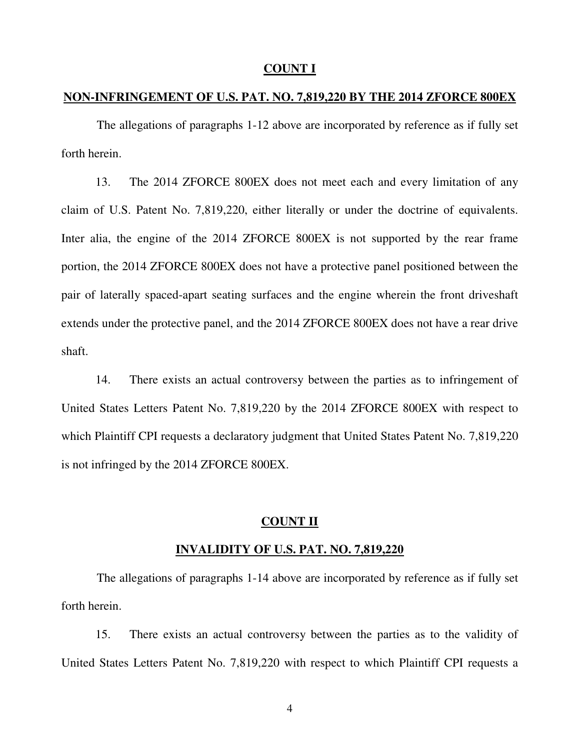### **COUNT I**

## **NON-INFRINGEMENT OF U.S. PAT. NO. 7,819,220 BY THE 2014 ZFORCE 800EX**

The allegations of paragraphs 1-12 above are incorporated by reference as if fully set forth herein.

13. The 2014 ZFORCE 800EX does not meet each and every limitation of any claim of U.S. Patent No. 7,819,220, either literally or under the doctrine of equivalents. Inter alia, the engine of the 2014 ZFORCE 800EX is not supported by the rear frame portion, the 2014 ZFORCE 800EX does not have a protective panel positioned between the pair of laterally spaced-apart seating surfaces and the engine wherein the front driveshaft extends under the protective panel, and the 2014 ZFORCE 800EX does not have a rear drive shaft.

14. There exists an actual controversy between the parties as to infringement of United States Letters Patent No. 7,819,220 by the 2014 ZFORCE 800EX with respect to which Plaintiff CPI requests a declaratory judgment that United States Patent No. 7,819,220 is not infringed by the 2014 ZFORCE 800EX.

#### **COUNT II**

#### **INVALIDITY OF U.S. PAT. NO. 7,819,220**

The allegations of paragraphs 1-14 above are incorporated by reference as if fully set forth herein.

15. There exists an actual controversy between the parties as to the validity of United States Letters Patent No. 7,819,220 with respect to which Plaintiff CPI requests a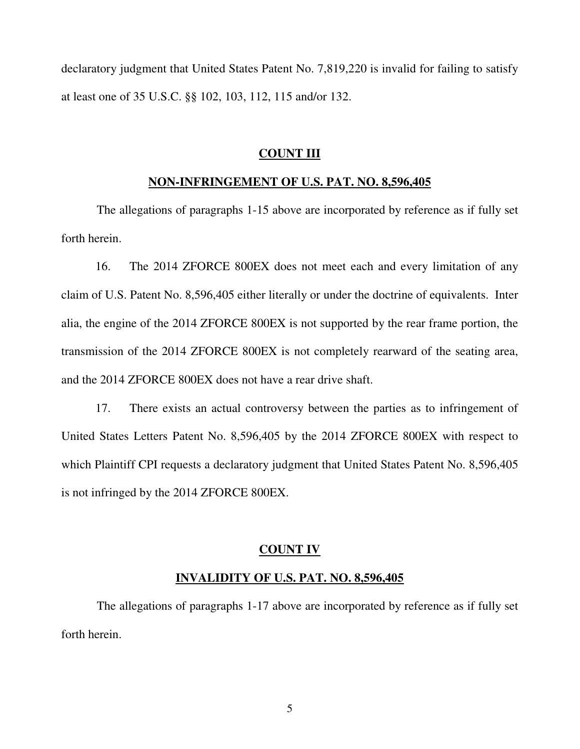declaratory judgment that United States Patent No. 7,819,220 is invalid for failing to satisfy at least one of 35 U.S.C. §§ 102, 103, 112, 115 and/or 132.

#### **COUNT III**

### **NON-INFRINGEMENT OF U.S. PAT. NO. 8,596,405**

The allegations of paragraphs 1-15 above are incorporated by reference as if fully set forth herein.

16. The 2014 ZFORCE 800EX does not meet each and every limitation of any claim of U.S. Patent No. 8,596,405 either literally or under the doctrine of equivalents. Inter alia, the engine of the 2014 ZFORCE 800EX is not supported by the rear frame portion, the transmission of the 2014 ZFORCE 800EX is not completely rearward of the seating area, and the 2014 ZFORCE 800EX does not have a rear drive shaft.

17. There exists an actual controversy between the parties as to infringement of United States Letters Patent No. 8,596,405 by the 2014 ZFORCE 800EX with respect to which Plaintiff CPI requests a declaratory judgment that United States Patent No. 8,596,405 is not infringed by the 2014 ZFORCE 800EX.

### **COUNT IV**

### **INVALIDITY OF U.S. PAT. NO. 8,596,405**

The allegations of paragraphs 1-17 above are incorporated by reference as if fully set forth herein.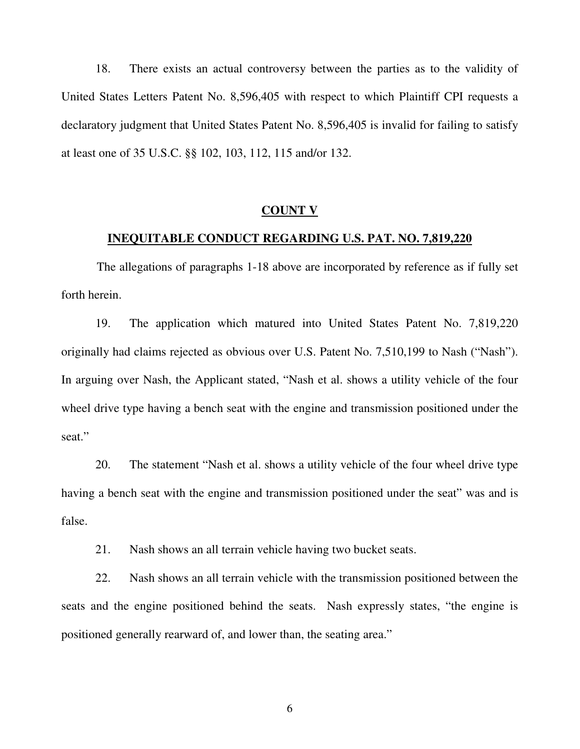18. There exists an actual controversy between the parties as to the validity of United States Letters Patent No. 8,596,405 with respect to which Plaintiff CPI requests a declaratory judgment that United States Patent No. 8,596,405 is invalid for failing to satisfy at least one of 35 U.S.C. §§ 102, 103, 112, 115 and/or 132.

#### **COUNT V**

## **INEQUITABLE CONDUCT REGARDING U.S. PAT. NO. 7,819,220**

The allegations of paragraphs 1-18 above are incorporated by reference as if fully set forth herein.

19. The application which matured into United States Patent No. 7,819,220 originally had claims rejected as obvious over U.S. Patent No. 7,510,199 to Nash ("Nash"). In arguing over Nash, the Applicant stated, "Nash et al. shows a utility vehicle of the four wheel drive type having a bench seat with the engine and transmission positioned under the seat."

20. The statement "Nash et al. shows a utility vehicle of the four wheel drive type having a bench seat with the engine and transmission positioned under the seat" was and is false.

21. Nash shows an all terrain vehicle having two bucket seats.

22. Nash shows an all terrain vehicle with the transmission positioned between the seats and the engine positioned behind the seats. Nash expressly states, "the engine is positioned generally rearward of, and lower than, the seating area."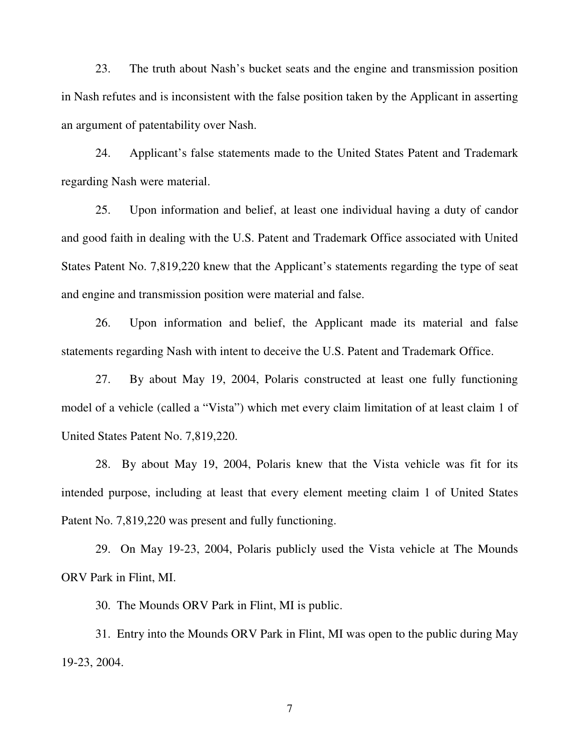23. The truth about Nash's bucket seats and the engine and transmission position in Nash refutes and is inconsistent with the false position taken by the Applicant in asserting an argument of patentability over Nash.

24. Applicant's false statements made to the United States Patent and Trademark regarding Nash were material.

25. Upon information and belief, at least one individual having a duty of candor and good faith in dealing with the U.S. Patent and Trademark Office associated with United States Patent No. 7,819,220 knew that the Applicant's statements regarding the type of seat and engine and transmission position were material and false.

26. Upon information and belief, the Applicant made its material and false statements regarding Nash with intent to deceive the U.S. Patent and Trademark Office.

27. By about May 19, 2004, Polaris constructed at least one fully functioning model of a vehicle (called a "Vista") which met every claim limitation of at least claim 1 of United States Patent No. 7,819,220.

28. By about May 19, 2004, Polaris knew that the Vista vehicle was fit for its intended purpose, including at least that every element meeting claim 1 of United States Patent No. 7,819,220 was present and fully functioning.

29. On May 19-23, 2004, Polaris publicly used the Vista vehicle at The Mounds ORV Park in Flint, MI.

30. The Mounds ORV Park in Flint, MI is public.

31. Entry into the Mounds ORV Park in Flint, MI was open to the public during May 19-23, 2004.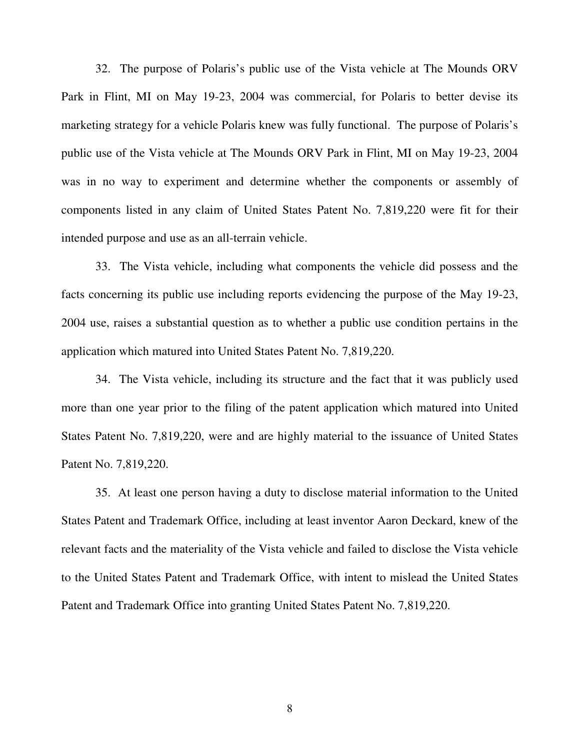32. The purpose of Polaris's public use of the Vista vehicle at The Mounds ORV Park in Flint, MI on May 19-23, 2004 was commercial, for Polaris to better devise its marketing strategy for a vehicle Polaris knew was fully functional. The purpose of Polaris's public use of the Vista vehicle at The Mounds ORV Park in Flint, MI on May 19-23, 2004 was in no way to experiment and determine whether the components or assembly of components listed in any claim of United States Patent No. 7,819,220 were fit for their intended purpose and use as an all-terrain vehicle.

33. The Vista vehicle, including what components the vehicle did possess and the facts concerning its public use including reports evidencing the purpose of the May 19-23, 2004 use, raises a substantial question as to whether a public use condition pertains in the application which matured into United States Patent No. 7,819,220.

34. The Vista vehicle, including its structure and the fact that it was publicly used more than one year prior to the filing of the patent application which matured into United States Patent No. 7,819,220, were and are highly material to the issuance of United States Patent No. 7,819,220.

35. At least one person having a duty to disclose material information to the United States Patent and Trademark Office, including at least inventor Aaron Deckard, knew of the relevant facts and the materiality of the Vista vehicle and failed to disclose the Vista vehicle to the United States Patent and Trademark Office, with intent to mislead the United States Patent and Trademark Office into granting United States Patent No. 7,819,220.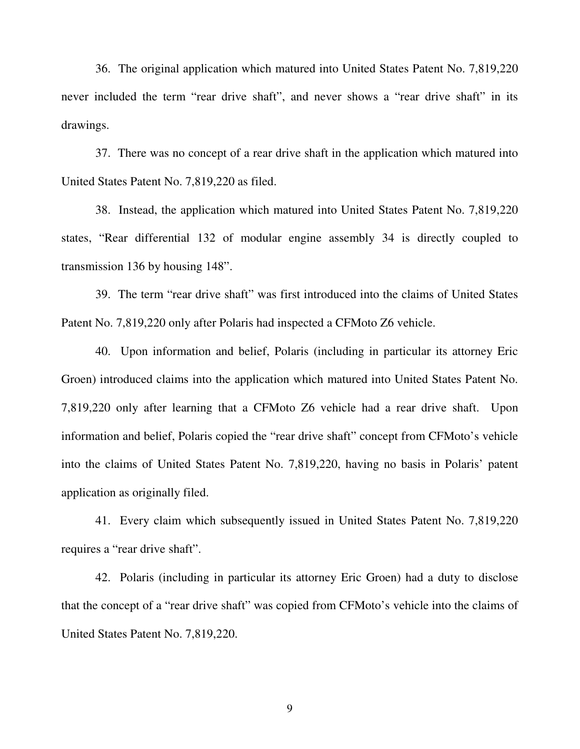36. The original application which matured into United States Patent No. 7,819,220 never included the term "rear drive shaft", and never shows a "rear drive shaft" in its drawings.

37. There was no concept of a rear drive shaft in the application which matured into United States Patent No. 7,819,220 as filed.

38. Instead, the application which matured into United States Patent No. 7,819,220 states, "Rear differential 132 of modular engine assembly 34 is directly coupled to transmission 136 by housing 148".

39. The term "rear drive shaft" was first introduced into the claims of United States Patent No. 7,819,220 only after Polaris had inspected a CFMoto Z6 vehicle.

40. Upon information and belief, Polaris (including in particular its attorney Eric Groen) introduced claims into the application which matured into United States Patent No. 7,819,220 only after learning that a CFMoto Z6 vehicle had a rear drive shaft. Upon information and belief, Polaris copied the "rear drive shaft" concept from CFMoto's vehicle into the claims of United States Patent No. 7,819,220, having no basis in Polaris' patent application as originally filed.

41. Every claim which subsequently issued in United States Patent No. 7,819,220 requires a "rear drive shaft".

42. Polaris (including in particular its attorney Eric Groen) had a duty to disclose that the concept of a "rear drive shaft" was copied from CFMoto's vehicle into the claims of United States Patent No. 7,819,220.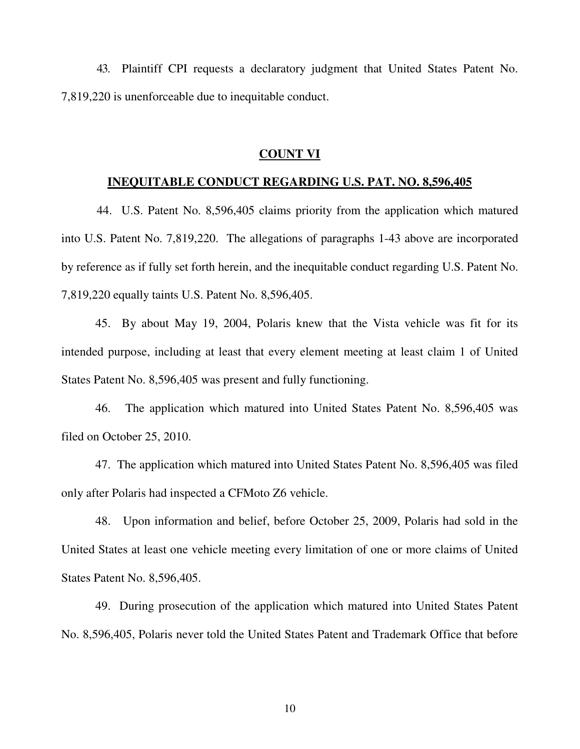43. Plaintiff CPI requests a declaratory judgment that United States Patent No. 7,819,220 is unenforceable due to inequitable conduct.

#### **COUNT VI**

#### **INEQUITABLE CONDUCT REGARDING U.S. PAT. NO. 8,596,405**

44. U.S. Patent No. 8,596,405 claims priority from the application which matured into U.S. Patent No. 7,819,220. The allegations of paragraphs 1-43 above are incorporated by reference as if fully set forth herein, and the inequitable conduct regarding U.S. Patent No. 7,819,220 equally taints U.S. Patent No. 8,596,405.

45. By about May 19, 2004, Polaris knew that the Vista vehicle was fit for its intended purpose, including at least that every element meeting at least claim 1 of United States Patent No. 8,596,405 was present and fully functioning.

46. The application which matured into United States Patent No. 8,596,405 was filed on October 25, 2010.

47. The application which matured into United States Patent No. 8,596,405 was filed only after Polaris had inspected a CFMoto Z6 vehicle.

48. Upon information and belief, before October 25, 2009, Polaris had sold in the United States at least one vehicle meeting every limitation of one or more claims of United States Patent No. 8,596,405.

49. During prosecution of the application which matured into United States Patent No. 8,596,405, Polaris never told the United States Patent and Trademark Office that before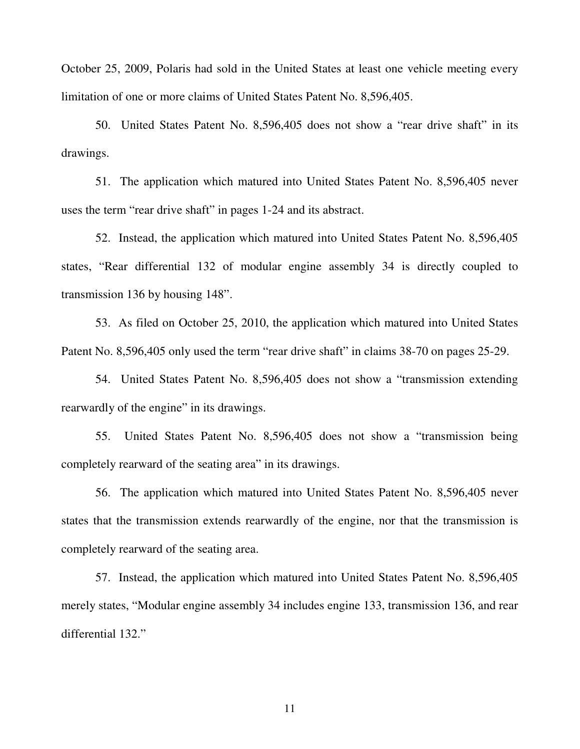October 25, 2009, Polaris had sold in the United States at least one vehicle meeting every limitation of one or more claims of United States Patent No. 8,596,405.

50. United States Patent No. 8,596,405 does not show a "rear drive shaft" in its drawings.

51. The application which matured into United States Patent No. 8,596,405 never uses the term "rear drive shaft" in pages 1-24 and its abstract.

52. Instead, the application which matured into United States Patent No. 8,596,405 states, "Rear differential 132 of modular engine assembly 34 is directly coupled to transmission 136 by housing 148".

53. As filed on October 25, 2010, the application which matured into United States Patent No. 8,596,405 only used the term "rear drive shaft" in claims 38-70 on pages 25-29.

54. United States Patent No. 8,596,405 does not show a "transmission extending rearwardly of the engine" in its drawings.

55. United States Patent No. 8,596,405 does not show a "transmission being completely rearward of the seating area" in its drawings.

56. The application which matured into United States Patent No. 8,596,405 never states that the transmission extends rearwardly of the engine, nor that the transmission is completely rearward of the seating area.

57. Instead, the application which matured into United States Patent No. 8,596,405 merely states, "Modular engine assembly 34 includes engine 133, transmission 136, and rear differential 132."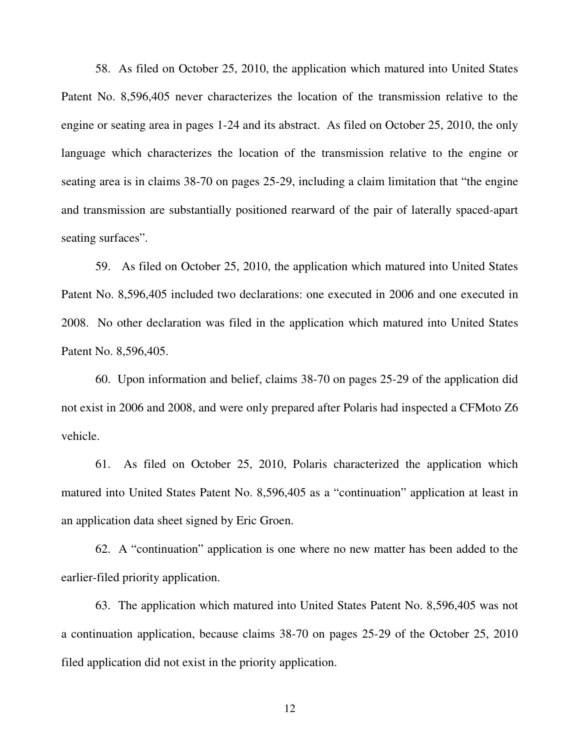58. As filed on October 25, 2010, the application which matured into United States Patent No. 8,596,405 never characterizes the location of the transmission relative to the engine or seating area in pages 1-24 and its abstract. As filed on October 25, 2010, the only language which characterizes the location of the transmission relative to the engine or seating area is in claims 38-70 on pages 25-29, including a claim limitation that "the engine and transmission are substantially positioned rearward of the pair of laterally spaced-apart seating surfaces".

59. As filed on October 25, 2010, the application which matured into United States Patent No. 8,596,405 included two declarations: one executed in 2006 and one executed in 2008. No other declaration was filed in the application which matured into United States Patent No. 8,596,405.

60. Upon information and belief, claims 38-70 on pages 25-29 of the application did not exist in 2006 and 2008, and were only prepared after Polaris had inspected a CFMoto Z6 vehicle.

61. As filed on October 25, 2010, Polaris characterized the application which matured into United States Patent No. 8,596,405 as a "continuation" application at least in an application data sheet signed by Eric Groen.

62. A "continuation" application is one where no new matter has been added to the earlier-filed priority application.

63. The application which matured into United States Patent No. 8,596,405 was not a continuation application, because claims 38-70 on pages 25-29 of the October 25, 2010 filed application did not exist in the priority application.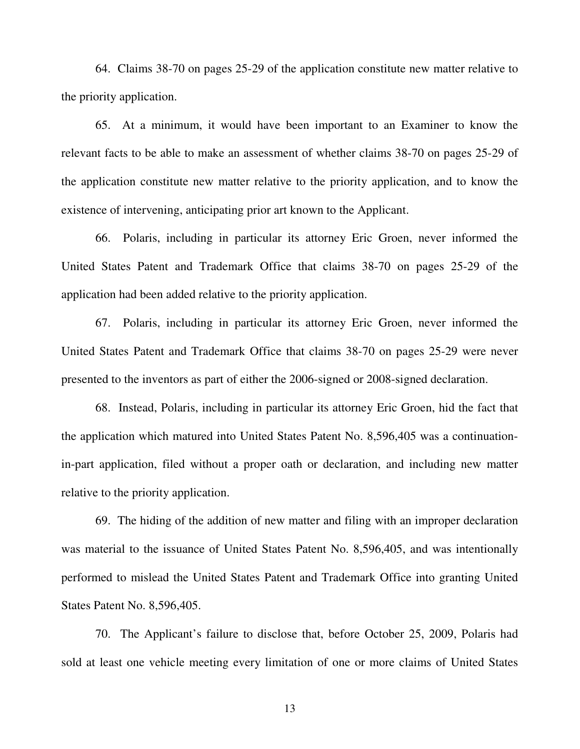64. Claims 38-70 on pages 25-29 of the application constitute new matter relative to the priority application.

65. At a minimum, it would have been important to an Examiner to know the relevant facts to be able to make an assessment of whether claims 38-70 on pages 25-29 of the application constitute new matter relative to the priority application, and to know the existence of intervening, anticipating prior art known to the Applicant.

66. Polaris, including in particular its attorney Eric Groen, never informed the United States Patent and Trademark Office that claims 38-70 on pages 25-29 of the application had been added relative to the priority application.

67. Polaris, including in particular its attorney Eric Groen, never informed the United States Patent and Trademark Office that claims 38-70 on pages 25-29 were never presented to the inventors as part of either the 2006-signed or 2008-signed declaration.

68. Instead, Polaris, including in particular its attorney Eric Groen, hid the fact that the application which matured into United States Patent No. 8,596,405 was a continuationin-part application, filed without a proper oath or declaration, and including new matter relative to the priority application.

69. The hiding of the addition of new matter and filing with an improper declaration was material to the issuance of United States Patent No. 8,596,405, and was intentionally performed to mislead the United States Patent and Trademark Office into granting United States Patent No. 8,596,405.

70. The Applicant's failure to disclose that, before October 25, 2009, Polaris had sold at least one vehicle meeting every limitation of one or more claims of United States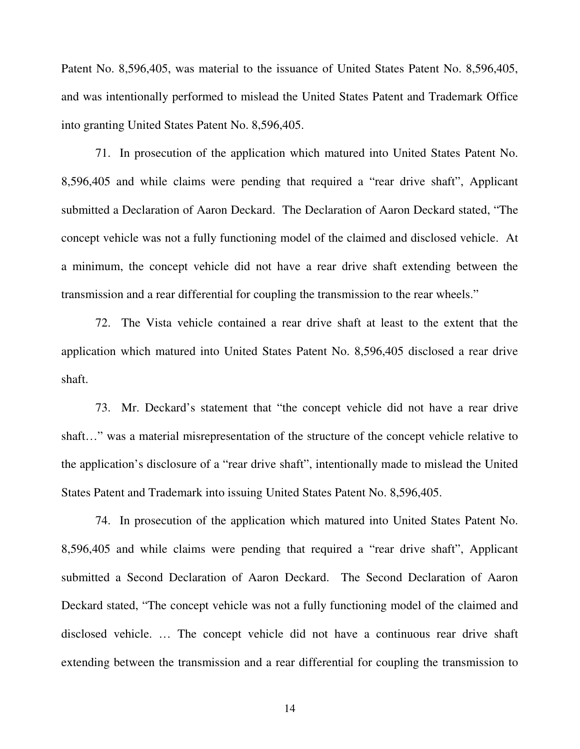Patent No. 8,596,405, was material to the issuance of United States Patent No. 8,596,405, and was intentionally performed to mislead the United States Patent and Trademark Office into granting United States Patent No. 8,596,405.

71. In prosecution of the application which matured into United States Patent No. 8,596,405 and while claims were pending that required a "rear drive shaft", Applicant submitted a Declaration of Aaron Deckard. The Declaration of Aaron Deckard stated, "The concept vehicle was not a fully functioning model of the claimed and disclosed vehicle. At a minimum, the concept vehicle did not have a rear drive shaft extending between the transmission and a rear differential for coupling the transmission to the rear wheels."

72. The Vista vehicle contained a rear drive shaft at least to the extent that the application which matured into United States Patent No. 8,596,405 disclosed a rear drive shaft.

73. Mr. Deckard's statement that "the concept vehicle did not have a rear drive shaft…" was a material misrepresentation of the structure of the concept vehicle relative to the application's disclosure of a "rear drive shaft", intentionally made to mislead the United States Patent and Trademark into issuing United States Patent No. 8,596,405.

74. In prosecution of the application which matured into United States Patent No. 8,596,405 and while claims were pending that required a "rear drive shaft", Applicant submitted a Second Declaration of Aaron Deckard. The Second Declaration of Aaron Deckard stated, "The concept vehicle was not a fully functioning model of the claimed and disclosed vehicle. … The concept vehicle did not have a continuous rear drive shaft extending between the transmission and a rear differential for coupling the transmission to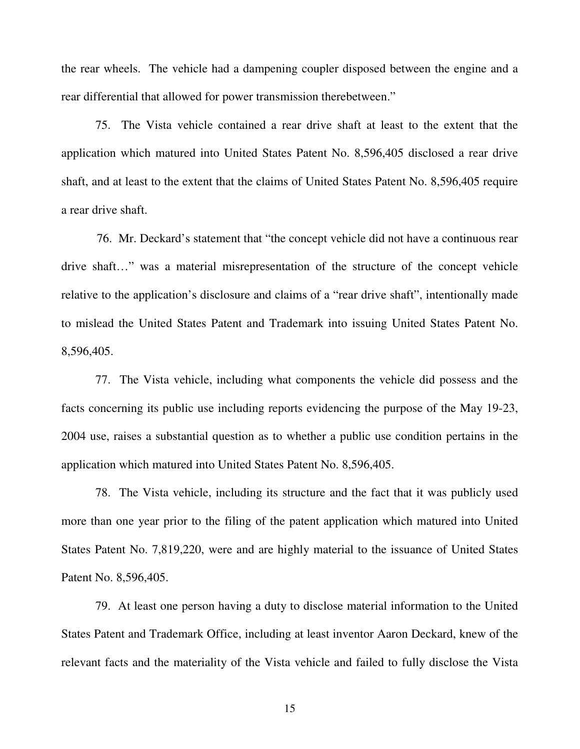the rear wheels. The vehicle had a dampening coupler disposed between the engine and a rear differential that allowed for power transmission therebetween."

75. The Vista vehicle contained a rear drive shaft at least to the extent that the application which matured into United States Patent No. 8,596,405 disclosed a rear drive shaft, and at least to the extent that the claims of United States Patent No. 8,596,405 require a rear drive shaft.

76. Mr. Deckard's statement that "the concept vehicle did not have a continuous rear drive shaft…" was a material misrepresentation of the structure of the concept vehicle relative to the application's disclosure and claims of a "rear drive shaft", intentionally made to mislead the United States Patent and Trademark into issuing United States Patent No. 8,596,405.

77. The Vista vehicle, including what components the vehicle did possess and the facts concerning its public use including reports evidencing the purpose of the May 19-23, 2004 use, raises a substantial question as to whether a public use condition pertains in the application which matured into United States Patent No. 8,596,405.

78. The Vista vehicle, including its structure and the fact that it was publicly used more than one year prior to the filing of the patent application which matured into United States Patent No. 7,819,220, were and are highly material to the issuance of United States Patent No. 8,596,405.

79. At least one person having a duty to disclose material information to the United States Patent and Trademark Office, including at least inventor Aaron Deckard, knew of the relevant facts and the materiality of the Vista vehicle and failed to fully disclose the Vista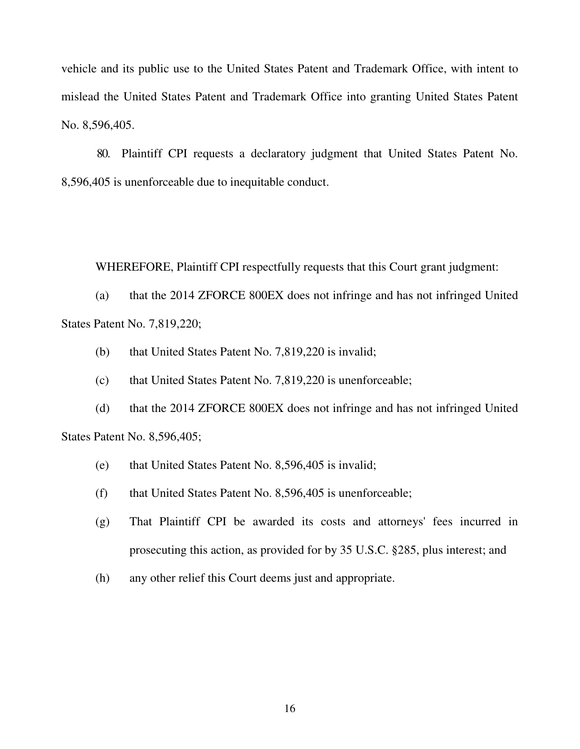vehicle and its public use to the United States Patent and Trademark Office, with intent to mislead the United States Patent and Trademark Office into granting United States Patent No. 8,596,405.

80. Plaintiff CPI requests a declaratory judgment that United States Patent No. 8,596,405 is unenforceable due to inequitable conduct.

WHEREFORE, Plaintiff CPI respectfully requests that this Court grant judgment:

(a) that the 2014 ZFORCE 800EX does not infringe and has not infringed United States Patent No. 7,819,220;

- (b) that United States Patent No. 7,819,220 is invalid;
- (c) that United States Patent No. 7,819,220 is unenforceable;

(d) that the 2014 ZFORCE 800EX does not infringe and has not infringed United States Patent No. 8,596,405;

- (e) that United States Patent No. 8,596,405 is invalid;
- (f) that United States Patent No. 8,596,405 is unenforceable;
- (g) That Plaintiff CPI be awarded its costs and attorneys' fees incurred in prosecuting this action, as provided for by 35 U.S.C. §285, plus interest; and
- (h) any other relief this Court deems just and appropriate.